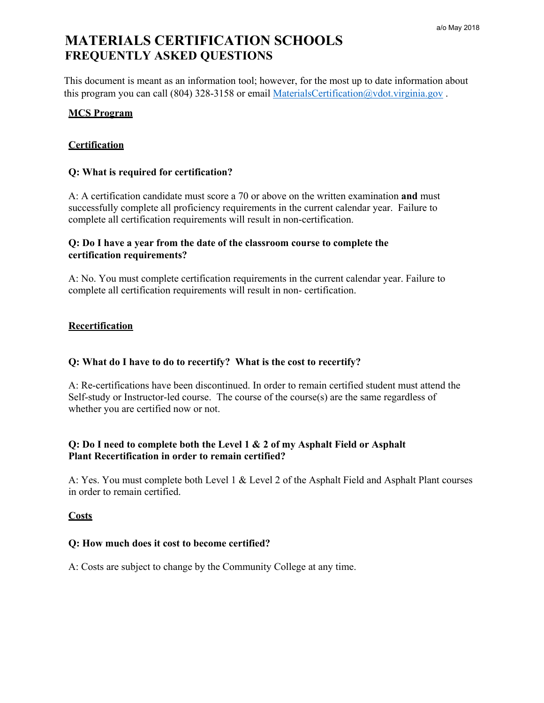This document is meant as an information tool; however, for the most up to date information about this program you can call (804) 328-3158 or email MaterialsCertification@vdot.virginia.gov.

## **MCS Program**

## **Certification**

### **Q: What is required for certification?**

A: A certification candidate must score a 70 or above on the written examination **and** must successfully complete all proficiency requirements in the current calendar year. Failure to complete all certification requirements will result in non-certification.

## **Q: Do I have a year from the date of the classroom course to complete the certification requirements?**

A: No. You must complete certification requirements in the current calendar year. Failure to complete all certification requirements will result in non- certification.

#### **Recertification**

### **Q: What do I have to do to recertify? What is the cost to recertify?**

A: Re-certifications have been discontinued. In order to remain certified student must attend the Self-study or Instructor-led course. The course of the course(s) are the same regardless of whether you are certified now or not.

# **Q: Do I need to complete both the Level 1 & 2 of my Asphalt Field or Asphalt Plant Recertification in order to remain certified?**

A: Yes. You must complete both Level 1 & Level 2 of the Asphalt Field and Asphalt Plant courses in order to remain certified.

### **Costs**

#### **Q: How much does it cost to become certified?**

A: Costs are subject to change by the Community College at any time.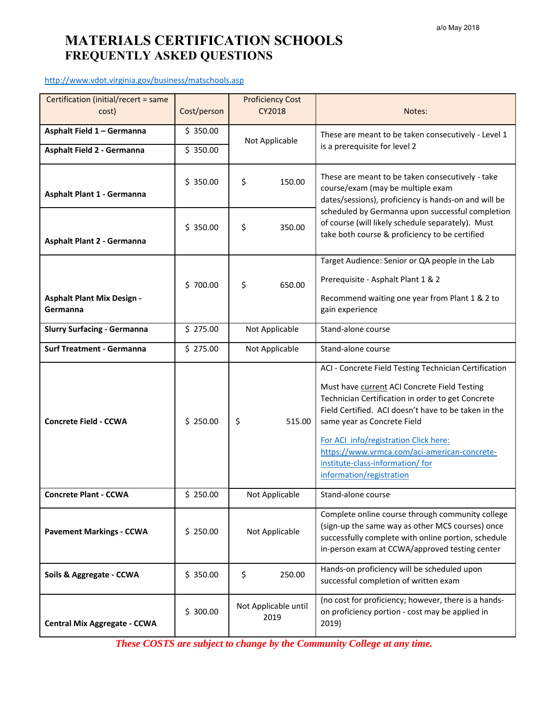http://www.vdot.virginia.gov/business/matschools.asp

| Certification (initial/recert = same<br>cost) | Cost/person | <b>Proficiency Cost</b><br>CY2018                                                                      | Notes:                                                                                                                                                                                                                                                                                                                                                                                                    |
|-----------------------------------------------|-------------|--------------------------------------------------------------------------------------------------------|-----------------------------------------------------------------------------------------------------------------------------------------------------------------------------------------------------------------------------------------------------------------------------------------------------------------------------------------------------------------------------------------------------------|
| Asphalt Field 1 - Germanna                    | \$350.00    |                                                                                                        |                                                                                                                                                                                                                                                                                                                                                                                                           |
|                                               |             | These are meant to be taken consecutively - Level 1<br>Not Applicable<br>is a prerequisite for level 2 |                                                                                                                                                                                                                                                                                                                                                                                                           |
| Asphalt Field 2 - Germanna                    | \$350.00    |                                                                                                        |                                                                                                                                                                                                                                                                                                                                                                                                           |
| Asphalt Plant 1 - Germanna                    | \$350.00    | \$<br>150.00                                                                                           | These are meant to be taken consecutively - take<br>course/exam (may be multiple exam<br>dates/sessions), proficiency is hands-on and will be<br>scheduled by Germanna upon successful completion<br>of course (will likely schedule separately). Must<br>take both course & proficiency to be certified                                                                                                  |
| Asphalt Plant 2 - Germanna                    | \$350.00    | \$<br>350.00                                                                                           |                                                                                                                                                                                                                                                                                                                                                                                                           |
|                                               |             |                                                                                                        | Target Audience: Senior or QA people in the Lab                                                                                                                                                                                                                                                                                                                                                           |
|                                               | \$700.00    | \$<br>650.00                                                                                           | Prerequisite - Asphalt Plant 1 & 2                                                                                                                                                                                                                                                                                                                                                                        |
| <b>Asphalt Plant Mix Design -</b><br>Germanna |             |                                                                                                        | Recommend waiting one year from Plant 1 & 2 to<br>gain experience                                                                                                                                                                                                                                                                                                                                         |
| <b>Slurry Surfacing - Germanna</b>            | \$275.00    | Not Applicable                                                                                         | Stand-alone course                                                                                                                                                                                                                                                                                                                                                                                        |
| <b>Surf Treatment - Germanna</b>              | \$275.00    | Not Applicable                                                                                         | Stand-alone course                                                                                                                                                                                                                                                                                                                                                                                        |
| <b>Concrete Field - CCWA</b>                  | \$250.00    | \$<br>515.00                                                                                           | ACI - Concrete Field Testing Technician Certification<br>Must have current ACI Concrete Field Testing<br>Technician Certification in order to get Concrete<br>Field Certified. ACI doesn't have to be taken in the<br>same year as Concrete Field<br>For ACI info/registration Click here:<br>https://www.vrmca.com/aci-american-concrete-<br>institute-class-information/for<br>information/registration |
| <b>Concrete Plant - CCWA</b>                  | \$250.00    | Not Applicable                                                                                         | Stand-alone course                                                                                                                                                                                                                                                                                                                                                                                        |
| <b>Pavement Markings - CCWA</b>               | \$250.00    | Not Applicable                                                                                         | Complete online course through community college<br>(sign-up the same way as other MCS courses) once<br>successfully complete with online portion, schedule<br>in-person exam at CCWA/approved testing center                                                                                                                                                                                             |
| Soils & Aggregate - CCWA                      | \$350.00    | \$<br>250.00                                                                                           | Hands-on proficiency will be scheduled upon<br>successful completion of written exam                                                                                                                                                                                                                                                                                                                      |
| <b>Central Mix Aggregate - CCWA</b>           | \$300.00    | Not Applicable until<br>2019                                                                           | (no cost for proficiency; however, there is a hands-<br>on proficiency portion - cost may be applied in<br>2019)                                                                                                                                                                                                                                                                                          |

*These COSTS are subject to change by the Community College at any time.*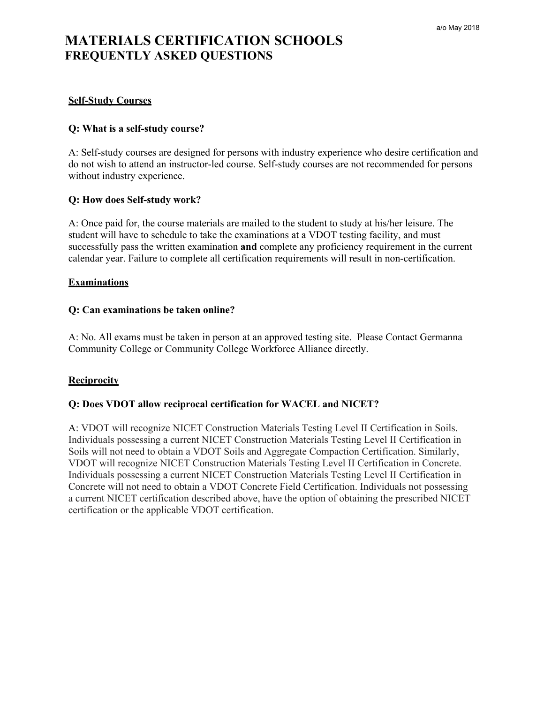### **Self-Study Courses**

#### **Q: What is a self-study course?**

A: Self-study courses are designed for persons with industry experience who desire certification and do not wish to attend an instructor-led course. Self-study courses are not recommended for persons without industry experience.

#### **Q: How does Self-study work?**

A: Once paid for, the course materials are mailed to the student to study at his/her leisure. The student will have to schedule to take the examinations at a VDOT testing facility, and must successfully pass the written examination **and** complete any proficiency requirement in the current calendar year. Failure to complete all certification requirements will result in non-certification.

#### **Examinations**

#### **Q: Can examinations be taken online?**

A: No. All exams must be taken in person at an approved testing site. Please Contact Germanna Community College or Community College Workforce Alliance directly.

### **Reciprocity**

#### **Q: Does VDOT allow reciprocal certification for WACEL and NICET?**

A: VDOT will recognize NICET Construction Materials Testing Level II Certification in Soils. Individuals possessing a current NICET Construction Materials Testing Level II Certification in Soils will not need to obtain a VDOT Soils and Aggregate Compaction Certification. Similarly, VDOT will recognize NICET Construction Materials Testing Level II Certification in Concrete. Individuals possessing a current NICET Construction Materials Testing Level II Certification in Concrete will not need to obtain a VDOT Concrete Field Certification. Individuals not possessing a current NICET certification described above, have the option of obtaining the prescribed NICET certification or the applicable VDOT certification.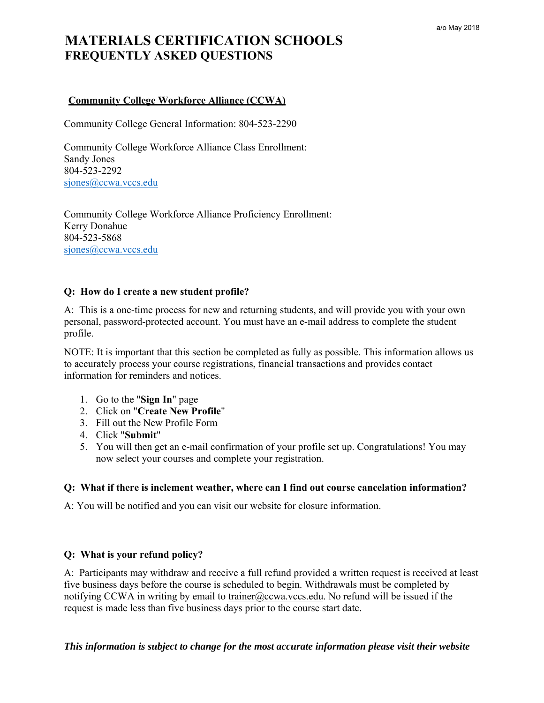## **Community College Workforce Alliance (CCWA)**

Community College General Information: 804-523-2290

Community College Workforce Alliance Class Enrollment: Sandy Jones 804-523-2292 siones@ccwa.vccs.edu

Community College Workforce Alliance Proficiency Enrollment: Kerry Donahue 804-523-5868 sjones@ccwa.vccs.edu

#### **Q: How do I create a new student profile?**

A: This is a one-time process for new and returning students, and will provide you with your own personal, password-protected account. You must have an e-mail address to complete the student profile.

NOTE: It is important that this section be completed as fully as possible. This information allows us to accurately process your course registrations, financial transactions and provides contact information for reminders and notices.

- 1. Go to the "**Sign In**" page
- 2. Click on "**Create New Profile**"
- 3. Fill out the New Profile Form
- 4. Click "**Submit**"
- 5. You will then get an e-mail confirmation of your profile set up. Congratulations! You may now select your courses and complete your registration.

#### **Q: What if there is inclement weather, where can I find out course cancelation information?**

A: You will be notified and you can visit our website for closure information.

### **Q: What is your refund policy?**

A: Participants may withdraw and receive a full refund provided a written request is received at least five business days before the course is scheduled to begin. Withdrawals must be completed by notifying CCWA in writing by email to trainer@ccwa.vccs.edu. No refund will be issued if the request is made less than five business days prior to the course start date.

*This information is subject to change for the most accurate information please visit their website*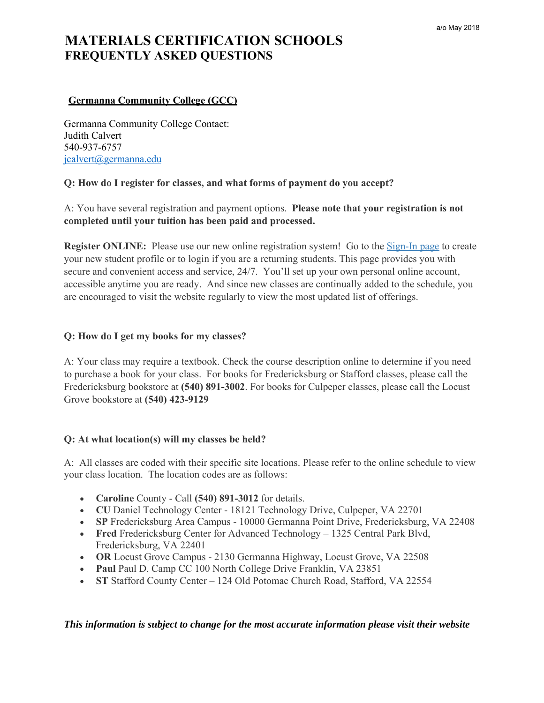## **Germanna Community College (GCC)**

Germanna Community College Contact: Judith Calvert 540-937-6757 jcalvert@germanna.edu

### **Q: How do I register for classes, and what forms of payment do you accept?**

A: You have several registration and payment options. **Please note that your registration is not completed until your tuition has been paid and processed.**

**Register ONLINE:** Please use our new online registration system! Go to the **Sign-In page** to create your new student profile or to login if you are a returning students. This page provides you with secure and convenient access and service, 24/7. You'll set up your own personal online account, accessible anytime you are ready. And since new classes are continually added to the schedule, you are encouraged to visit the website regularly to view the most updated list of offerings.

#### **Q: How do I get my books for my classes?**

A: Your class may require a textbook. Check the course description online to determine if you need to purchase a book for your class. For books for Fredericksburg or Stafford classes, please call the Fredericksburg bookstore at **(540) 891-3002**. For books for Culpeper classes, please call the Locust Grove bookstore at **(540) 423-9129**

### **Q: At what location(s) will my classes be held?**

A: All classes are coded with their specific site locations. Please refer to the online schedule to view your class location. The location codes are as follows:

- **Caroline** County Call **(540) 891-3012** for details.
- **CU** Daniel Technology Center 18121 Technology Drive, Culpeper, VA 22701
- **SP** Fredericksburg Area Campus 10000 Germanna Point Drive, Fredericksburg, VA 22408
- **Fred** Fredericksburg Center for Advanced Technology 1325 Central Park Blvd, Fredericksburg, VA 22401
- **OR** Locust Grove Campus 2130 Germanna Highway, Locust Grove, VA 22508
- Paul Paul D. Camp CC 100 North College Drive Franklin, VA 23851
- **ST** Stafford County Center 124 Old Potomac Church Road, Stafford, VA 22554

### *This information is subject to change for the most accurate information please visit their website*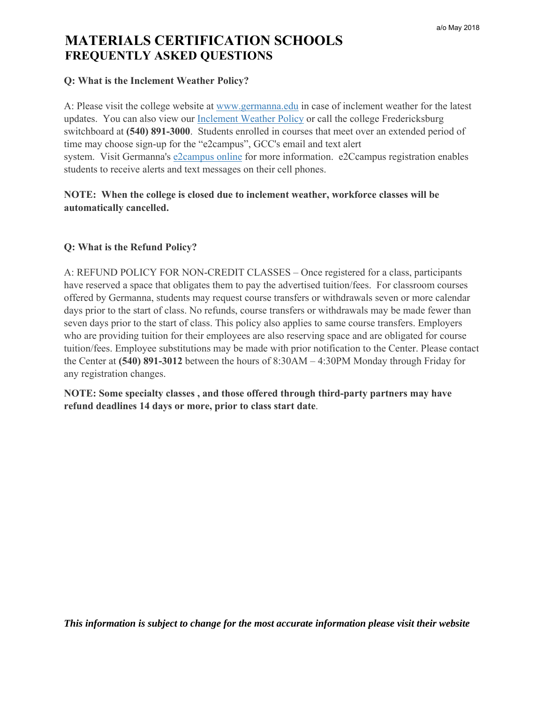# **Q: What is the Inclement Weather Policy?**

A: Please visit the college website at www.germanna.edu in case of inclement weather for the latest updates. You can also view our Inclement Weather Policy or call the college Fredericksburg switchboard at **(540) 891-3000**. Students enrolled in courses that meet over an extended period of time may choose sign-up for the "e2campus", GCC's email and text alert system. Visit Germanna's e2campus online for more information. e2Ccampus registration enables students to receive alerts and text messages on their cell phones.

# **NOTE: When the college is closed due to inclement weather, workforce classes will be automatically cancelled.**

# **Q: What is the Refund Policy?**

A: REFUND POLICY FOR NON-CREDIT CLASSES – Once registered for a class, participants have reserved a space that obligates them to pay the advertised tuition/fees. For classroom courses offered by Germanna, students may request course transfers or withdrawals seven or more calendar days prior to the start of class. No refunds, course transfers or withdrawals may be made fewer than seven days prior to the start of class. This policy also applies to same course transfers. Employers who are providing tuition for their employees are also reserving space and are obligated for course tuition/fees. Employee substitutions may be made with prior notification to the Center. Please contact the Center at **(540) 891-3012** between the hours of 8:30AM – 4:30PM Monday through Friday for any registration changes.

**NOTE: Some specialty classes , and those offered through third-party partners may have refund deadlines 14 days or more, prior to class start date**.